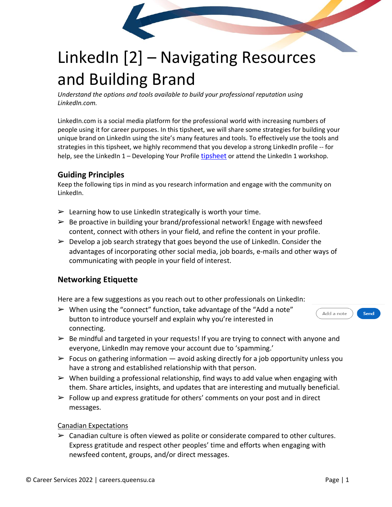

# LinkedIn [2] – Navigating Resources and Building Brand

*Understand the options and tools available to build your professional reputation using LinkedIn.com.* 

LinkedIn.com is a social media platform for the professional world with increasing numbers of people using it for career purposes. In this tipsheet, we will share some strategies for building your unique brand on LinkedIn using the site's many features and tools. To effectively use the tools and strategies in this tipsheet, we highly recommend that you develop a strong LinkedIn profile -- for help, see the LinkedIn 1 – Developing Your Profile [tipsheet](https://careers.queensu.ca/students/tipsheets-career-resources/tipsheets) or attend the LinkedIn 1 workshop.

## **Guiding Principles**

Keep the following tips in mind as you research information and engage with the community on LinkedIn.

- $\triangleright$  Learning how to use LinkedIn strategically is worth your time.
- $\triangleright$  Be proactive in building your brand/professional network! Engage with newsfeed content, connect with others in your field, and refine the content in your profile.
- $\triangleright$  Develop a job search strategy that goes beyond the use of LinkedIn. Consider the advantages of incorporating other social media, job boards, e-mails and other ways of communicating with people in your field of interest.

# **Networking Etiquette**

Here are a few suggestions as you reach out to other professionals on LinkedIn:

- $\triangleright$  When using the "connect" function, take advantage of the "Add a note" button to introduce yourself and explain why you're interested in connecting.
- $\triangleright$  Be mindful and targeted in your requests! If you are trying to connect with anyone and
	- everyone, LinkedIn may remove your account due to 'spamming.'
- $\triangleright$  Focus on gathering information avoid asking directly for a job opportunity unless you have a strong and established relationship with that person.
- $\triangleright$  When building a professional relationship, find ways to add value when engaging with them. Share articles, insights, and updates that are interesting and mutually beneficial.
- $\triangleright$  Follow up and express gratitude for others' comments on your post and in direct messages.

#### Canadian Expectations

 $\triangleright$  Canadian culture is often viewed as polite or considerate compared to other cultures. Express gratitude and respect other peoples' time and efforts when engaging with newsfeed content, groups, and/or direct messages.

Add a note

Send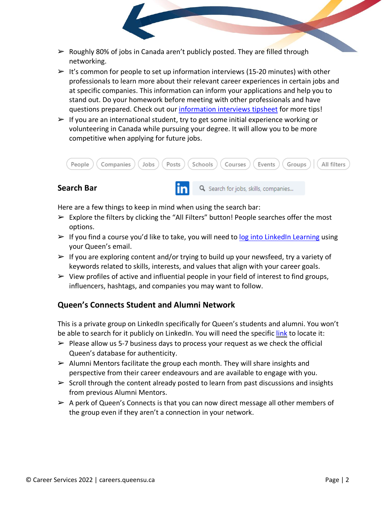- $\triangleright$  Roughly 80% of jobs in Canada aren't publicly posted. They are filled through networking.
- $\geq 1$ t's common for people to set up information interviews (15-20 minutes) with other professionals to learn more about their relevant career experiences in certain jobs and at specific companies. This information can inform your applications and help you to stand out. Do your homework before meeting with other professionals and have questions prepared. Check out our [information](https://careers.queensu.ca/sites/webpublish.queensu.ca.cswww/files/files/TipSheets/Information%2520Interviews%25202020.pdf) interviews tipsheet for more tips!
- $\triangleright$  If you are an international student, try to get some initial experience working or volunteering in Canada while pursuing your degree. It will allow you to be more competitive when applying for future jobs.



Q Search for jobs, skills, companies...

## **Search Bar**

Here are a few things to keep in mind when using the search bar:

- $\triangleright$  Explore the filters by clicking the "All Filters" button! People searches offer the most options.
- $\triangleright$  If you find a course you'd like to take, you will need to log into LinkedIn [Learning](https://www.linkedin.com/learning-login/) using your Queen's email.
- $\triangleright$  If you are exploring content and/or trying to build up your newsfeed, try a variety of keywords related to skills, interests, and values that align with your career goals.
- $\triangleright$  View profiles of active and influential people in your field of interest to find groups, influencers, hashtags, and companies you may want to follow.

# **Queen's Connects Student and Alumni Network**

This is a private group on LinkedIn specifically for Queen's students and alumni. You won't be able to search for it publicly on LinkedIn. You will need the specific [link](https://www.linkedin.com/groups/8154377/) to locate it:

- $\triangleright$  Please allow us 5-7 business days to process your request as we check the official Queen's database for authenticity.
- $\triangleright$  Alumni Mentors facilitate the group each month. They will share insights and perspective from their career endeavours and are available to engage with you.
- $\triangleright$  Scroll through the content already posted to learn from past discussions and insights from previous Alumni Mentors.
- $\triangleright$  A perk of Queen's Connects is that you can now direct message all other members of the group even if they aren't a connection in your network.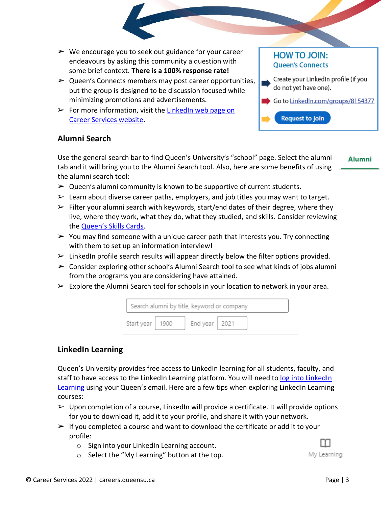- $\triangleright$  We encourage you to seek out guidance for your career endeavours by asking this community a question with some brief context. **There is a 100% response rate!**
- $\triangleright$  Queen's Connects members may post career opportunities, but the group is designed to be discussion focused while minimizing promotions and advertisements.
- $\triangleright$  For more information, visit the [LinkedIn](https://careers.queensu.ca/linkedin) web page on Career Services [website.](https://careers.queensu.ca/linkedin)

# **HOW TO JOIN: Queen's Connects**

**Request to join** 

- Create your LinkedIn profile (if you do not yet have one).
- Go to LinkedIn.com/groups/8154377

#### **Alumni Search**

Use the general search bar to find Queen's University's "school" page. Select the alumni tab and it will bring you to the Alumni Search tool. Also, here are some benefits of using the alumni search tool:

**Alumni** 

- $\triangleright$  Queen's alumni community is known to be supportive of current students.
- $\triangleright$  Learn about diverse career paths, employers, and job titles you may want to target.
- $\triangleright$  Filter your alumni search with keywords, start/end dates of their degree, where they live, where they work, what they do, what they studied, and skills. Consider reviewing the [Queen's](https://careers.queensu.ca/skillscards) Skills Cards.
- $\triangleright$  You may find someone with a unique career path that interests you. Try connecting with them to set up an information interview!
- $\triangleright$  LinkedIn profile search results will appear directly below the filter options provided.
- $\triangleright$  Consider exploring other school's Alumni Search tool to see what kinds of jobs alumni from the programs you are considering have attained.
- $\triangleright$  Explore the Alumni Search tool for schools in your location to network in your area.



#### **LinkedIn Learning**

Queen's University provides free access to LinkedIn learning for all students, faculty, and staff to have access to the [LinkedIn](https://www.linkedin.com/learning-login/) Learning platform. You will need to log into LinkedIn [Learning](https://www.linkedin.com/learning-login/) using your Queen's email. Here are a few tips when exploring LinkedIn Learning courses:

- $\triangleright$  Upon completion of a course, LinkedIn will provide a certificate. It will provide options for you to download it, add it to your profile, and share it with your network.
- $\triangleright$  If you completed a course and want to download the certificate or add it to your profile:
	- o Sign into your LinkedIn Learning account.
	- o Select the "My Learning" button at the top.



My Learning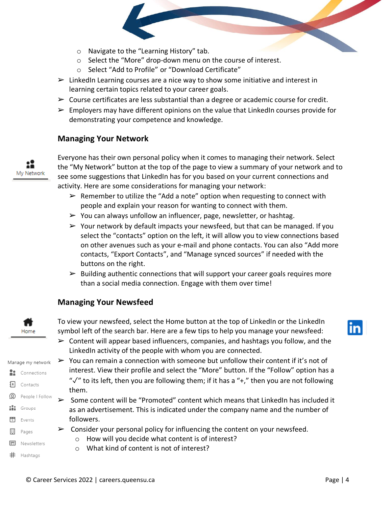- o Navigate to the "Learning History" tab.
- o Select the "More" drop-down menu on the course of interest.
- o Select "Add to Profile" or "Download Certificate"
- $\triangleright$  LinkedIn Learning courses are a nice way to show some initiative and interest in learning certain topics related to your career goals.
- $\triangleright$  Course certificates are less substantial than a degree or academic course for credit.
- $\triangleright$  Employers may have different opinions on the value that LinkedIn courses provide for demonstrating your competence and knowledge.

#### **Managing Your Network**



Everyone has their own personal policy when it comes to managing their network. Select the "My Network" button at the top of the page to view a summary of your network and to see some suggestions that LinkedIn has for you based on your current connections and activity. Here are some considerations for managing your network:

- $\triangleright$  Remember to utilize the "Add a note" option when requesting to connect with people and explain your reason for wanting to connect with them.
- $\triangleright$  You can always unfollow an influencer, page, newsletter, or hashtag.
- $\triangleright$  Your network by default impacts your newsfeed, but that can be managed. If you select the "contacts" option on the left, it will allow you to view connections based on other avenues such as your e-mail and phone contacts. You can also "Add more contacts, "Export Contacts", and "Manage synced sources" if needed with the buttons on the right.
- $\triangleright$  Building authentic connections that will support your career goals requires more than a social media connection. Engage with them over time!

#### **Managing Your Newsfeed**



To view your newsfeed, select the Home button at the top of LinkedIn or the LinkedIn symbol left of the search bar. Here are a few tips to help you manage your newsfeed:

- in
- $\triangleright$  Content will appear based influencers, companies, and hashtags you follow, and the LinkedIn activity of the people with whom you are connected.
- $\triangleright$  You can remain a connection with someone but unfollow their content if it's not of Manage my network interest. View their profile and select the "More" button. If the "Follow" option has a **Re** Connections " $\sqrt{ }$ " to its left, then you are following them; if it has a "+," then you are not following them. **Q** People | Follow
	- $\triangleright$  Some content will be "Promoted" content which means that LinkedIn has included it as an advertisement. This is indicated under the company name and the number of followers.
	- $\triangleright$  Consider your personal policy for influencing the content on your newsfeed.
		- o How will you decide what content is of interest?
		- o What kind of content is not of interest?
- # Hashtags

Pages

Newsletters

圓 圓

1 Contacts

... Groups  $\frac{1}{5}$  Events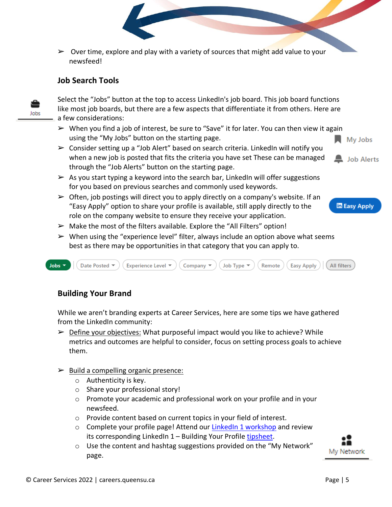$\triangleright$  Over time, explore and play with a variety of sources that might add value to your newsfeed!

## **Job Search Tools**

Jobs

Select the "Jobs" button at the top to access LinkedIn's job board. This job board functions like most job boards, but there are a few aspects that differentiate it from others. Here are a few considerations:

- $\triangleright$  When you find a job of interest, be sure to "Save" it for later. You can then view it again using the "My Jobs" button on the starting page.
- $\triangleright$  Consider setting up a "Job Alert" based on search criteria. LinkedIn will notify you when a new job is posted that fits the criteria you have set These can be managed through the "Job Alerts" button on the starting page.

My Jobs



**In Easy Apply** 

- $\triangleright$  As you start typing a keyword into the search bar, LinkedIn will offer suggestions for you based on previous searches and commonly used keywords.
- $\triangleright$  Often, job postings will direct you to apply directly on a company's website. If an "Easy Apply" option to share your profile is available, still apply directly to the role on the company website to ensure they receive your application.



 $\triangleright$  When using the "experience level" filter, always include an option above what seems best as there may be opportunities in that category that you can apply to.



# **Building Your Brand**

While we aren't branding experts at Career Services, here are some tips we have gathered from the LinkedIn community:

- $\triangleright$  Define your objectives: What purposeful impact would you like to achieve? While metrics and outcomes are helpful to consider, focus on setting process goals to achieve them.
- $\triangleright$  Build a compelling organic presence:
	- o Authenticity is key.
	- o Share your professional story!
	- o Promote your academic and professional work on your profile and in your newsfeed.
	- o Provide content based on current topics in your field of interest.
	- o Complete your profile page! Attend our LinkedIn 1 [workshop](https://careers.queensu.ca/students/services-students/workshops/career-workshops) and review its corresponding LinkedIn 1 - Building Your Profile [tipsheet.](https://careers.queensu.ca/students/tipsheets-career-resources/tipsheets)
	- o Use the content and hashtag suggestions provided on the "My Network" page.

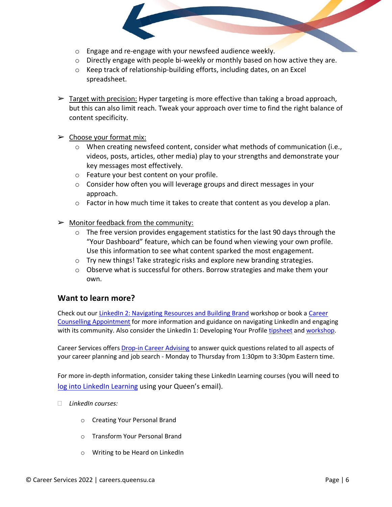- o Engage and re-engage with your newsfeed audience weekly.
- $\circ$  Directly engage with people bi-weekly or monthly based on how active they are.
- o Keep track of relationship-building efforts, including dates, on an Excel spreadsheet.
- $\triangleright$  Target with precision: Hyper targeting is more effective than taking a broad approach, but this can also limit reach. Tweak your approach over time to find the right balance of content specificity.
- $\triangleright$  Choose your format mix:
	- o When creating newsfeed content, consider what methods of communication (i.e., videos, posts, articles, other media) play to your strengths and demonstrate your key messages most effectively.
	- o Feature your best content on your profile.
	- $\circ$  Consider how often you will leverage groups and direct messages in your approach.
	- $\circ$  Factor in how much time it takes to create that content as you develop a plan.
- $\triangleright$  Monitor feedback from the community:
	- o The free version provides engagement statistics for the last 90 days through the "Your Dashboard" feature, which can be found when viewing your own profile. Use this information to see what content sparked the most engagement.
	- o Try new things! Take strategic risks and explore new branding strategies.
	- $\circ$  Observe what is successful for others. Borrow strategies and make them your own.

## **Want to learn more?**

Check out our LinkedIn 2: [Navigating](https://careers.queensu.ca/regular-workshops) Resources and Building Brand workshop or book a [Career](https://careers.queensu.ca/students/services-students/appointments/career-consultation-appointments) Counselling [Appointment](https://careers.queensu.ca/students/services-students/appointments/career-consultation-appointments) for more information and guidance on navigating LinkedIn and engaging with its community. Also consider the LinkedIn 1: Developing Your Profile [tipsheet](https://careers.queensu.ca/students/tipsheets-career-resources/tipsheets) and [workshop.](https://careers.queensu.ca/regular-workshops)

Career Services offers Drop-in Career [Advising](http://careers.queensu.ca/students/services-students/drop-career-advising) to answer quick questions related to all aspects of your career planning and job search - Monday to Thursday from 1:30pm to 3:30pm Eastern time.

For more in-depth information, consider taking these LinkedIn Learning courses (you will need to log into LinkedIn [Learning](https://www.linkedin.com/learning-login/) using your Queen's email).

- *LinkedIn courses:*
	- o Creating Your Personal Brand
	- o Transform Your Personal Brand
	- o Writing to be Heard on LinkedIn